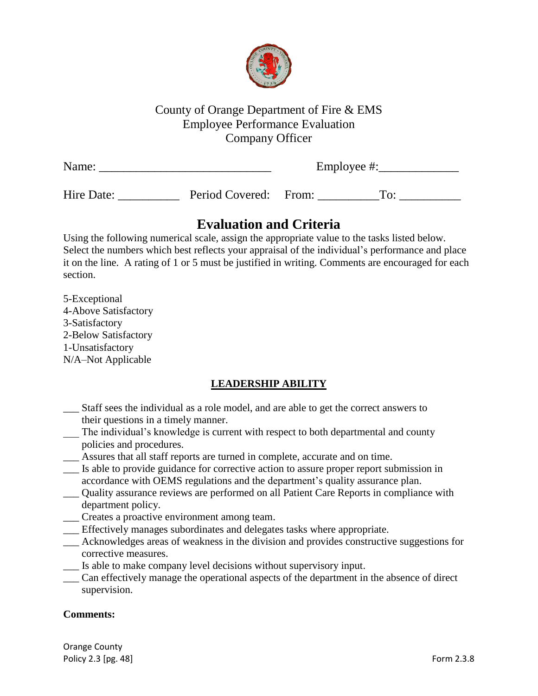

# County of Orange Department of Fire & EMS Employee Performance Evaluation Company Officer

| Name:      |                       | Employee #: |               |  |
|------------|-----------------------|-------------|---------------|--|
| Hire Date: | Period Covered: From: |             | $T_{\rm O}$ : |  |

# **Evaluation and Criteria**

Using the following numerical scale, assign the appropriate value to the tasks listed below. Select the numbers which best reflects your appraisal of the individual's performance and place it on the line. A rating of 1 or 5 must be justified in writing. Comments are encouraged for each section.

5-Exceptional 4-Above Satisfactory 3-Satisfactory 2-Below Satisfactory 1-Unsatisfactory N/A–Not Applicable

# **LEADERSHIP ABILITY**

- \_\_\_ Staff sees the individual as a role model, and are able to get the correct answers to their questions in a timely manner.
- The individual's knowledge is current with respect to both departmental and county policies and procedures.
- \_\_\_ Assures that all staff reports are turned in complete, accurate and on time.
- \_\_\_ Is able to provide guidance for corrective action to assure proper report submission in accordance with OEMS regulations and the department's quality assurance plan.
- \_\_\_ Quality assurance reviews are performed on all Patient Care Reports in compliance with department policy.
- \_\_\_ Creates a proactive environment among team.
- \_\_\_ Effectively manages subordinates and delegates tasks where appropriate.
- \_\_\_ Acknowledges areas of weakness in the division and provides constructive suggestions for corrective measures.
- \_\_\_ Is able to make company level decisions without supervisory input.
- \_\_\_ Can effectively manage the operational aspects of the department in the absence of direct supervision.

### **Comments:**

Orange County Policy 2.3 [pg. 48] Form 2.3.8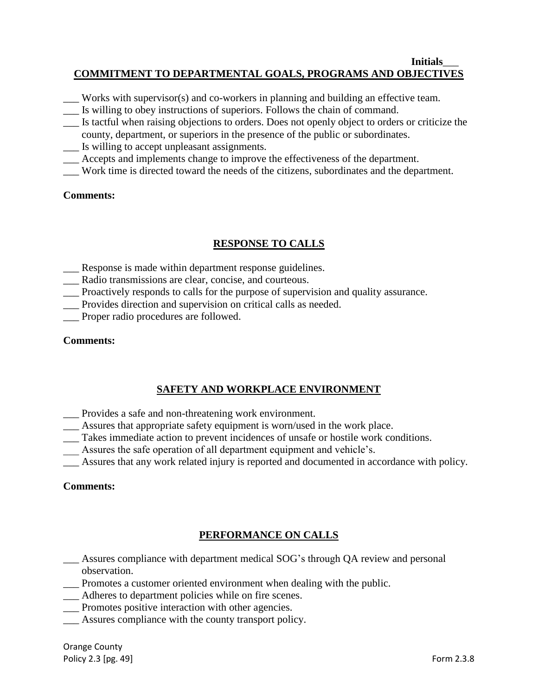#### **Initials**\_\_\_ **COMMITMENT TO DEPARTMENTAL GOALS, PROGRAMS AND OBJECTIVES**

- Works with supervisor(s) and co-workers in planning and building an effective team.
- \_\_\_ Is willing to obey instructions of superiors. Follows the chain of command.
- \_\_\_ Is tactful when raising objections to orders. Does not openly object to orders or criticize the county, department, or superiors in the presence of the public or subordinates.
- \_\_\_ Is willing to accept unpleasant assignments.
- \_\_\_ Accepts and implements change to improve the effectiveness of the department.
- Work time is directed toward the needs of the citizens, subordinates and the department.

### **Comments:**

### **RESPONSE TO CALLS**

- \_\_\_ Response is made within department response guidelines.
- \_\_\_ Radio transmissions are clear, concise, and courteous.
- \_\_\_ Proactively responds to calls for the purpose of supervision and quality assurance.
- \_\_\_ Provides direction and supervision on critical calls as needed.
- \_\_\_ Proper radio procedures are followed.

#### **Comments:**

### **SAFETY AND WORKPLACE ENVIRONMENT**

- \_\_\_ Provides a safe and non-threatening work environment.
- \_\_\_ Assures that appropriate safety equipment is worn/used in the work place.
- \_\_\_ Takes immediate action to prevent incidences of unsafe or hostile work conditions.
- Assures the safe operation of all department equipment and vehicle's.
- \_\_\_ Assures that any work related injury is reported and documented in accordance with policy.

### **Comments:**

# **PERFORMANCE ON CALLS**

- \_\_\_ Assures compliance with department medical SOG's through QA review and personal observation.
- \_\_\_ Promotes a customer oriented environment when dealing with the public.
- Adheres to department policies while on fire scenes.
- \_\_\_ Promotes positive interaction with other agencies.
- Assures compliance with the county transport policy.

Orange County Policy 2.3 [pg. 49] **Form 2.3.8**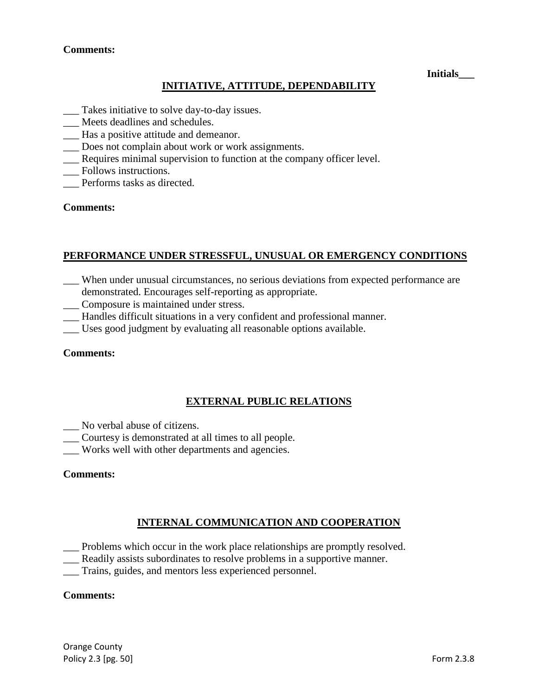#### **Comments:**

#### **Initials\_\_\_**

### **INITIATIVE, ATTITUDE, DEPENDABILITY**

- \_\_\_ Takes initiative to solve day-to-day issues.
- \_\_\_ Meets deadlines and schedules.
- \_\_\_ Has a positive attitude and demeanor.
- \_\_\_ Does not complain about work or work assignments.
- \_\_\_ Requires minimal supervision to function at the company officer level.
- \_\_\_ Follows instructions.
- \_\_\_ Performs tasks as directed.

#### **Comments:**

#### **PERFORMANCE UNDER STRESSFUL, UNUSUAL OR EMERGENCY CONDITIONS**

- \_\_\_ When under unusual circumstances, no serious deviations from expected performance are demonstrated. Encourages self-reporting as appropriate.
- \_\_\_ Composure is maintained under stress.
- \_\_\_ Handles difficult situations in a very confident and professional manner.
- \_\_\_ Uses good judgment by evaluating all reasonable options available.

#### **Comments:**

### **EXTERNAL PUBLIC RELATIONS**

- \_\_\_ No verbal abuse of citizens.
- \_\_\_ Courtesy is demonstrated at all times to all people.
- \_\_\_ Works well with other departments and agencies.

#### **Comments:**

### **INTERNAL COMMUNICATION AND COOPERATION**

- \_\_\_ Problems which occur in the work place relationships are promptly resolved.
- \_\_\_ Readily assists subordinates to resolve problems in a supportive manner.
- \_\_\_ Trains, guides, and mentors less experienced personnel.

#### **Comments:**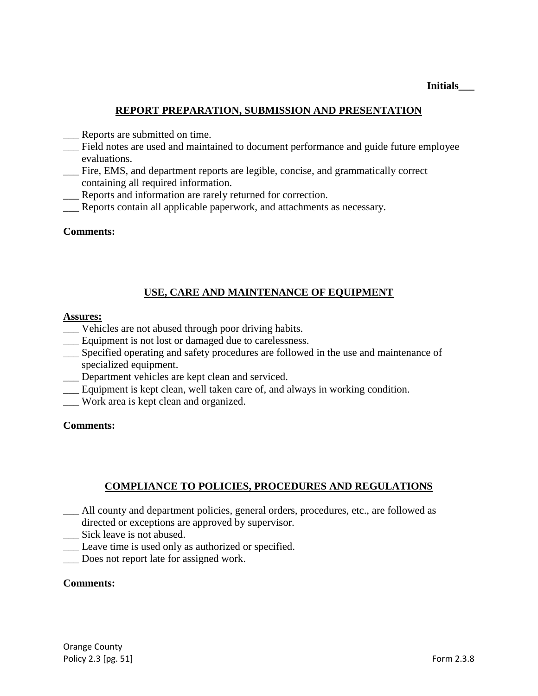### **REPORT PREPARATION, SUBMISSION AND PRESENTATION**

- \_\_\_ Reports are submitted on time.
- \_\_\_ Field notes are used and maintained to document performance and guide future employee evaluations.
- \_\_\_ Fire, EMS, and department reports are legible, concise, and grammatically correct containing all required information.
- Reports and information are rarely returned for correction.
- Reports contain all applicable paperwork, and attachments as necessary.

#### **Comments:**

### **USE, CARE AND MAINTENANCE OF EQUIPMENT**

#### **Assures:**

- \_\_\_ Vehicles are not abused through poor driving habits.
- \_\_\_ Equipment is not lost or damaged due to carelessness.
- \_\_\_ Specified operating and safety procedures are followed in the use and maintenance of specialized equipment.
- Department vehicles are kept clean and serviced.
- Equipment is kept clean, well taken care of, and always in working condition.
- \_\_\_ Work area is kept clean and organized.

#### **Comments:**

### **COMPLIANCE TO POLICIES, PROCEDURES AND REGULATIONS**

- \_\_\_ All county and department policies, general orders, procedures, etc., are followed as directed or exceptions are approved by supervisor.
- \_\_\_ Sick leave is not abused.
- \_\_\_ Leave time is used only as authorized or specified.
- \_\_\_ Does not report late for assigned work.

#### **Comments:**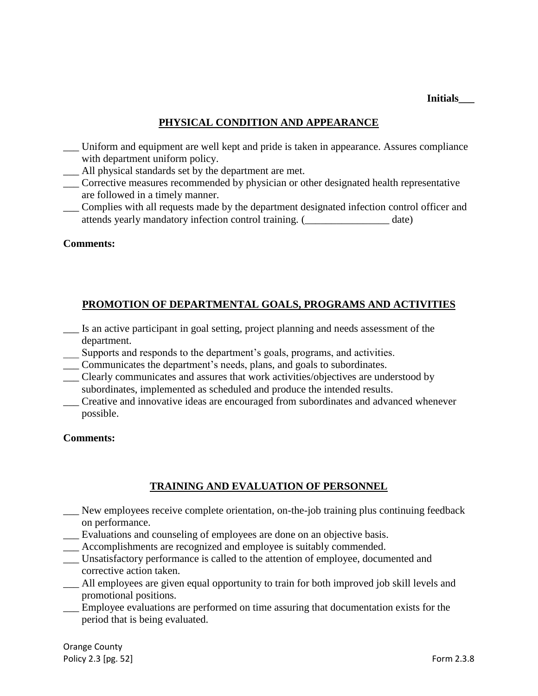**Initials\_\_\_**

### **PHYSICAL CONDITION AND APPEARANCE**

- Uniform and equipment are well kept and pride is taken in appearance. Assures compliance with department uniform policy.
- All physical standards set by the department are met.
- \_\_\_ Corrective measures recommended by physician or other designated health representative are followed in a timely manner.
- Complies with all requests made by the department designated infection control officer and attends yearly mandatory infection control training. (  $\qquad \qquad$  date)

### **Comments:**

### **PROMOTION OF DEPARTMENTAL GOALS, PROGRAMS AND ACTIVITIES**

- \_\_\_ Is an active participant in goal setting, project planning and needs assessment of the department.
- \_\_\_ Supports and responds to the department's goals, programs, and activities.
- \_\_\_ Communicates the department's needs, plans, and goals to subordinates.
- \_\_\_ Clearly communicates and assures that work activities/objectives are understood by subordinates, implemented as scheduled and produce the intended results.
- \_\_\_ Creative and innovative ideas are encouraged from subordinates and advanced whenever possible.

#### **Comments:**

# **TRAINING AND EVALUATION OF PERSONNEL**

- \_\_\_ New employees receive complete orientation, on-the-job training plus continuing feedback on performance.
- \_\_\_ Evaluations and counseling of employees are done on an objective basis.
- \_\_\_ Accomplishments are recognized and employee is suitably commended.
- \_\_\_ Unsatisfactory performance is called to the attention of employee, documented and corrective action taken.
- \_\_\_ All employees are given equal opportunity to train for both improved job skill levels and promotional positions.
- \_\_\_ Employee evaluations are performed on time assuring that documentation exists for the period that is being evaluated.

Orange County Policy 2.3 [pg. 52] Form 2.3.8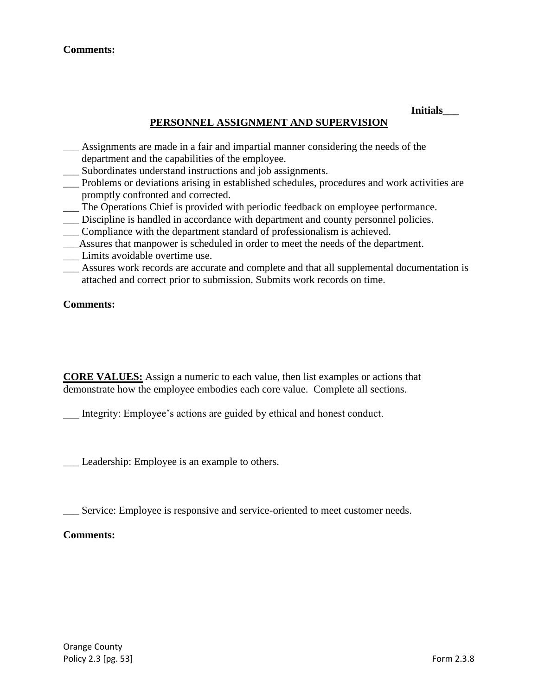### **Comments:**

#### **Initials\_\_\_**

### **PERSONNEL ASSIGNMENT AND SUPERVISION**

- \_\_\_ Assignments are made in a fair and impartial manner considering the needs of the department and the capabilities of the employee.
- Subordinates understand instructions and job assignments.
- \_\_\_ Problems or deviations arising in established schedules, procedures and work activities are promptly confronted and corrected.
- \_\_\_ The Operations Chief is provided with periodic feedback on employee performance.
- Discipline is handled in accordance with department and county personnel policies.
- \_\_\_ Compliance with the department standard of professionalism is achieved.
- \_\_\_Assures that manpower is scheduled in order to meet the needs of the department.
- Limits avoidable overtime use.
- \_\_\_ Assures work records are accurate and complete and that all supplemental documentation is attached and correct prior to submission. Submits work records on time.

#### **Comments:**

**CORE VALUES:** Assign a numeric to each value, then list examples or actions that demonstrate how the employee embodies each core value. Complete all sections.

Integrity: Employee's actions are guided by ethical and honest conduct.

\_\_\_ Leadership: Employee is an example to others.

\_\_\_ Service: Employee is responsive and service-oriented to meet customer needs.

### **Comments:**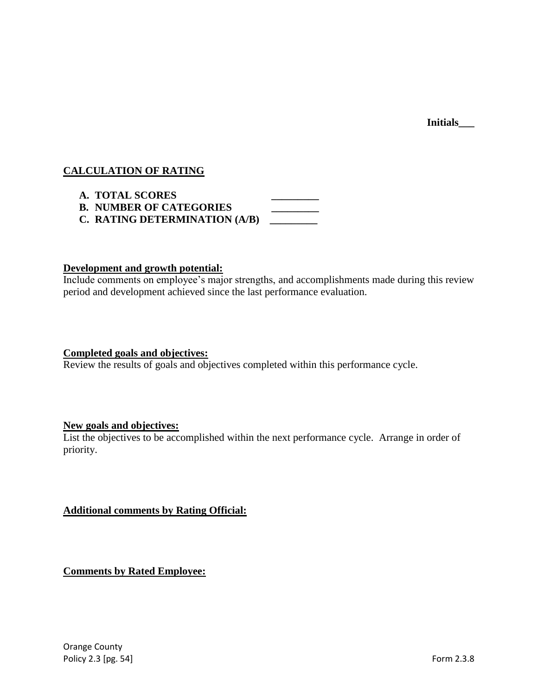**Initials\_\_\_**

### **CALCULATION OF RATING**

| <b>A. TOTAL SCORES</b>         |  |
|--------------------------------|--|
| <b>B. NUMBER OF CATEGORIES</b> |  |
| C. RATING DETERMINATION (A/B)  |  |

### **Development and growth potential:**

Include comments on employee's major strengths, and accomplishments made during this review period and development achieved since the last performance evaluation.

#### **Completed goals and objectives:**

Review the results of goals and objectives completed within this performance cycle.

### **New goals and objectives:**

List the objectives to be accomplished within the next performance cycle. Arrange in order of priority.

**Additional comments by Rating Official:**

**Comments by Rated Employee:**